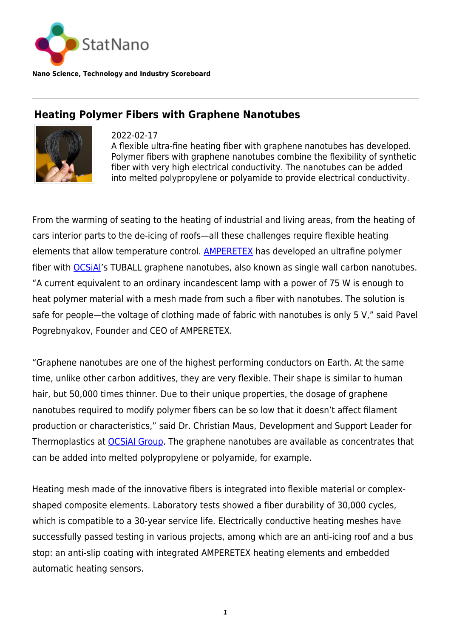

**Nano Science, Technology and Industry Scoreboard**

## **Heating Polymer Fibers with Graphene Nanotubes**



2022-02-17

A flexible ultra-fine heating fiber with graphene nanotubes has developed. Polymer fibers with graphene nanotubes combine the flexibility of synthetic fiber with very high electrical conductivity. The nanotubes can be added into melted polypropylene or polyamide to provide electrical conductivity.

From the warming of seating to the heating of industrial and living areas, from the heating of cars interior parts to the de-icing of roofs—all these challenges require flexible heating elements that allow temperature control. [AMPERETEX](https://amperetex.ru/) has developed an ultrafine polymer fiber with **OCSIAI's** TUBALL graphene nanotubes, also known as single wall carbon nanotubes. "A current equivalent to an ordinary incandescent lamp with a power of 75 W is enough to heat polymer material with a mesh made from such a fiber with nanotubes. The solution is safe for people—the voltage of clothing made of fabric with nanotubes is only 5 V," said Pavel Pogrebnyakov, Founder and CEO of AMPERETEX.

"Graphene nanotubes are one of the highest performing conductors on Earth. At the same time, unlike other carbon additives, they are very flexible. Their shape is similar to human hair, but 50,000 times thinner. Due to their unique properties, the dosage of graphene nanotubes required to modify polymer fibers can be so low that it doesn't affect filament production or characteristics," said Dr. Christian Maus, Development and Support Leader for Thermoplastics at **OCSIAI Group**. The graphene nanotubes are available as concentrates that can be added into melted polypropylene or polyamide, for example.

Heating mesh made of the innovative fibers is integrated into flexible material or complexshaped composite elements. Laboratory tests showed a fiber durability of 30,000 cycles, which is compatible to a 30-year service life. Electrically conductive heating meshes have successfully passed testing in various projects, among which are an anti-icing roof and a bus stop: an anti-slip coating with integrated AMPERETEX heating elements and embedded automatic heating sensors.